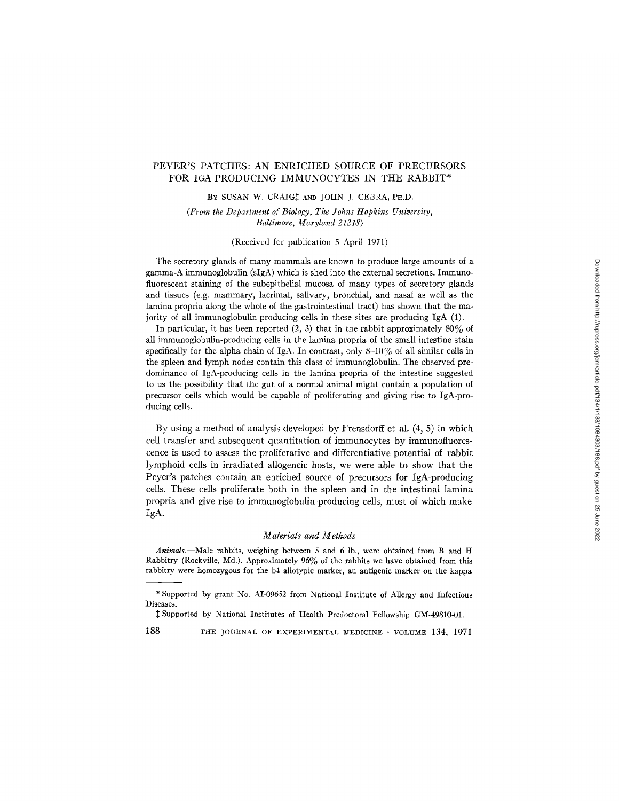# PEYER'S PATCHES: AN ENRICHED SOURCE OF PRECURSORS FOR IGA-PRODUCING IMMUNOCYTES IN THE RABBIT\*

BY SUSAN W. CRAIG<sup>+</sup> AND JOHN J. CEBRA, PH.D.

*(From the Department of Biology, The Johns Hopkins University, Baltimore, Maryland 21218)* 

(Received for publication 5 April 1971)

The secretory glands of many mammals are known to produce large amounts of a gamma-A immunoglobulin (sIgA) which is shed into the external secretions. Immunofluorescent staining of the subepithelial mucosa of many types of secretory glands and tissues (e.g. mammary, lacrimal, salivary, bronchial, and nasal as well as the lamina propria along the whole of the gastrointestinal tract) has shown that the majority of all immunoglobulin-producing cells in these sites are producing IgA (1).

In particular, it has been reported  $(2, 3)$  that in the rabbit approximately 80% of all immunoglobulin-producing cells in the lamina propria of the small intestine stain specifically for the alpha chain of IgA. In contrast, only 8-10% of all similar cells in the spleen and lymph nodes contain this class of immunoglobulin. The observed predominance of IgA-producing cells in the lamina propria of the intestine suggested to us the possibility that the gut of a normal animal might contain a population of precursor cells which would be capable of proliferating and giving rise to IgA-producing cells.

By using a method of analysis developed by Frensdorff et al. (4, 5) in which cell transfer and subsequent quantitation of immunocytes by immunofluorescence is used to assess the proliferative and differentiative potential of rabbit lymphoid cells in irradiated allogeneic hosts, we were able to show that the Peyer's patches contain an enriched source of precursors for IgA-producing cells. These cells proliferate both in the spleen and in the intestinal lamina propria and give rise to immunoglobulin-producing cells, most of which make IgA.

#### *Materials and Methods*

Animals.--Male rabbits, weighing between 5 and 6 lb., were obtained from B and H Rabbitry (Rockville, Md.). Approximately  $96\%$  of the rabbits we have obtained from this rabbitry were homozygous for the b4 allotypic marker, an antigenic marker on the kappa

Supported by National Institutes of Health Predoctoral Fellowship GM-49810-01.

188 THE JOURNAL OF EXPERIMENTAL MEDICINE · VOLUME 134, 1971

<sup>\*</sup> Supported by grant No. AI-09652 from National Institute of Allergy and Infectious Diseases.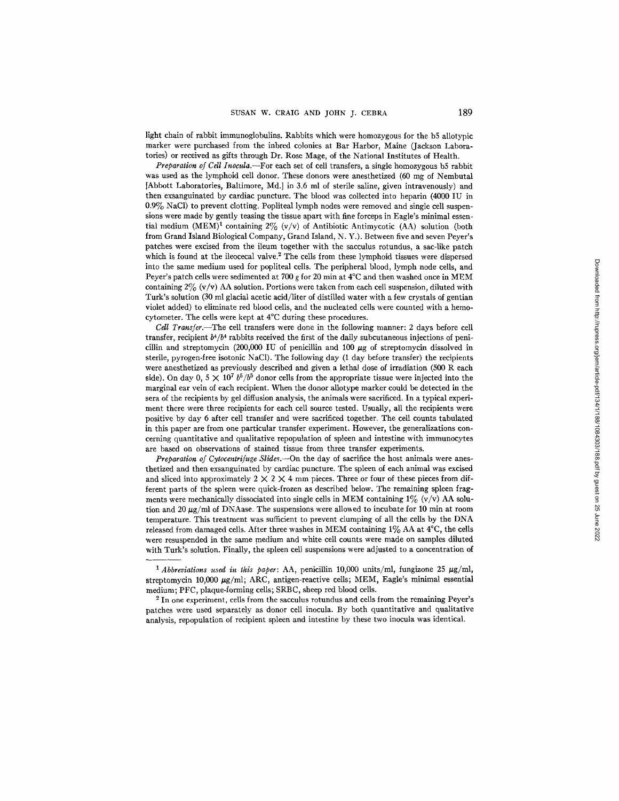light chain of rabbit immunoglobulins. Rabbits which were homozygous for the b5 allotypic marker were purchased from the inbred colonies at Bar Harbor, Maine (Jackson Laboratories) or received as gifts through Dr. Rose Mage, of the National Institutes of Health.

*Preparation of Cell Inocula.--For* each set of cell transfers, a single homozygous b5 rabbit was used as the lymphoid cell donor. These donors were anesthetized (60 mg of Nembutal [Abbott Laboratories, Baltimore, Md.] in 3.6 ml of sterile saline, given intravenously) and then exsanguinated by cardiac puncture. The blood was collected into heparin (4000 IU in  $0.9\%$  NaCl) to prevent clotting. Popliteal lymph nodes were removed and single cell suspensions were made by gently teasing the tissue apart with fine forceps in Eagle's minimal essential medium (MEM)<sup>1</sup> containing  $2\%$  (v/v) of Antibiotic Antimycotic (AA) solution (both from Grand Island Biological Company, Grand Island, N. Y.). Between five and seven Peyer's patches were excised from the ileum together with the sacculus rotundus, a sac-like patch which is found at the ileocecal valve, $2$  The cells from these lymphoid tissues were dispersed into the same medium used for popliteal cells. The peripheral blood, lymph node cells, and Peyer's patch cells were sedimented at 700 g for 20 min at  $4^{\circ}$ C and then washed once in MEM containing  $2\%$  (v/v) AA solution. Portions were taken from each cell suspension, diluted with Turk's solution (30 ml glacial acetic acid/liter of distilled water with a few crystals of gentian violet added) to eliminate red blood cells, and the nucleated cells were counted with a hemocytometer. The cells were kept at 4°C during these procedures.

*Cdl Transfer.--The* cell transfers were done in the following manner: 2 days before cell transfer, recipient  $b^4/b^4$  rabbits received the first of the daily subcutaneous injections of penicillin and streptomycin  $(200,000 \text{ IU of penicillin and } 100 \text{ µg of streptomycin dissolved in})$ sterile, pyrogen-free isotonic NaC1). The following day (1 day before transfer) the recipients were anesthetized as previously described and given a lethal dose of irradiation (500 R each side). On day 0,  $5 \times 10^7 b^5/b^5$  donor cells from the appropriate tissue were injected into the marginal ear vein of each recipient. When the donor allotype marker could be detected in the sera of the recipients by gel diffusion analysis, the animals were sacrificed. In a typical experiment there were three recipients for each cell source tested. Usually, all the recipients were positive by day 6 after cell transfer and were sacrificed together. The cell counts tabulated in this paper are from one particular transfer experiment. However, the generalizations concerning quantitative and qualitative repopulation of spleen and intestine with immunocytes are based on observations of stained tissue from three transfer experiments.

*Preparation of Cytocentrifuge Slides.*—On the day of sacrifice the host animals were anesthetized and then exsanguinated by cardiac puncture. The spleen of each animal was excised and sliced into approximately  $2 \times 2 \times 4$  mm pieces. Three or four of these pieces from different parts of the spleen were quick-frozen as described below. The remaining spleen fragments were mechanically dissociated into single cells in MEM containing  $1\%$  (v/v) AA solution and 20  $\mu$ g/ml of DNAase. The suspensions were allowed to incubate for 10 min at room temperature. This treatment was sufficient to prevent clumping of all the cells by the DNA released from damaged cells. After three washes in MEM containing  $1\%$  AA at  $4^{\circ}$ C, the cells were resuspended in the same medium and white cell counts were made on samples diluted with Turk's solution. Finally, the spleen cell suspensions were adjusted to a concentration of

<sup>&</sup>lt;sup>1</sup> Abbreviations used in this paper: AA, penicillin 10,000 units/ml, fungizone 25  $\mu$ g/ml, streptomycin 10,000  $\mu$ g/ml; ARC, antigen-reactive cells; MEM, Eagle's minimal essential medium; PFC, plaque-forming cells; SRBC, sheep red blood cells.

<sup>2</sup> In one experiment, cells from the sacculus rotundus and cells from the remaining Peyer's patches were used separately as donor cell inocula. By both quantitative and qualitative analysis, repopulation of recipient spleen and intestine by these two inocula was identical.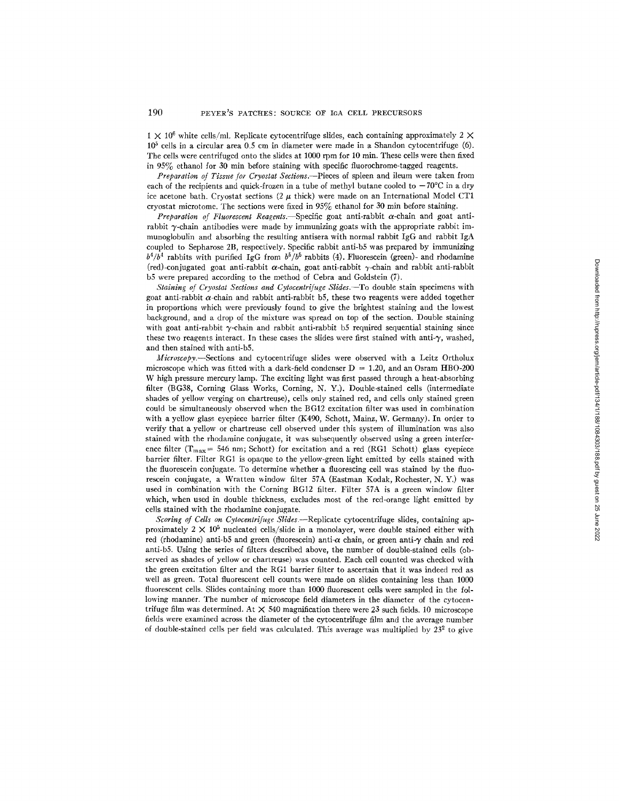$1 \times 10^6$  white cells/ml. Replicate cytocentrifuge slides, each containing approximately 2  $\times$  $10<sup>5</sup>$  cells in a circular area 0.5 cm in diameter were made in a Shandon cytocentrifuge (6). The cells were centrifuged onto the slides at 1000 rpm for 10 min. These cells were then fixed in 95% ethanol for 30 min before staining with specific fluorochrome-tagged reagents.

*Preparation of Tissue for Cryostat Sections.*--Pieces of spleen and ileum were taken from each of the recipients and quick-frozen in a tube of methyl butane cooled to  $-70^{\circ}\text{C}$  in a dry ice acetone bath. Cryostat sections  $(2 \mu \text{ thick})$  were made on an International Model CT1 cryostat microtome. The sections were fixed in  $95\%$  ethanol for 30 min before staining.

*Preparation of Fluorescent Reagents.*--Specific goat anti-rabbit  $\alpha$ -chain and goat antirabbit  $\gamma$ -chain antibodies were made by immunizing goats with the appropriate rabbit immunoglobulin and absorbing the resulting anfisera with normal rabbit IgG and rabbit IgA coupled to Sepharose 2B, respectively. Specific rabbit anti-b5 was prepared by immunizing  $b^4/b^4$  rabbits with purified IgG from  $b^5/b^5$  rabbits (4). Fluorescein (green)- and rhodamine (red)-conjugated goat anti-rabbit  $\alpha$ -chain, goat anti-rabbit  $\gamma$ -chain and rabbit anti-rabbit b5 were prepared according to the method of Cebra and Goldstein (7).

*Staining of Cryostat Sections and Cytocentrifuge Slides.*-To double stain specimens with goat anti-rabbit  $\alpha$ -chain and rabbit anti-rabbit b5, these two reagents were added together in proportions which were previously found to give the brightest staining and the lowest background, and a drop of the mixture was spread on top of the section. Double staining with goat anti-rabbit  $\gamma$ -chain and rabbit anti-rabbit b5 required sequential staining since these two reagents interact. In these cases the slides were first stained with anti- $\gamma$ , washed, and then stained with anti-b5.

*Microscopy.--Sections* and cytocentrifuge slides were observed with a Leitz Ortholux microscope which was fitted with a dark-field condenser  $D = 1.20$ , and an Osram HBO-200 W high pressure mercury lamp. The exciting light was first passed through a heat-absorbing filter (BG38, Coming Glass Works, Coming, N. Y.). Double-stained cells (intermediate shades of yellow verging on chartreuse), cells only stained red, and cells only stained green could be simultaneously observed when the BG12 excitation filter was used in combination with a yellow glass eyepiece barrier filter (K490, Schott, Mainz, W. Germany). In order to verify that a yellow or chartreuse cell observed under this system of illumination was also stained with the rhodamine conjugate, it was subsequently observed using a green interference filter ( $T_{\text{max}}$  = 546 nm; Schott) for excitation and a red (RG1 Schott) glass eyepiece barrier filter. Filter RGI is opaque to the yellow-green light emitted by cells stained with the fluorescein conjugate. To determine whether a fluorescing cell was stained by the fluorescein conjugate, a Wratten window filter 57A (Eastman Kodak, Rochester, N. Y.) was used in combination with the Corning BG12 filter. Filter 57A is a green window filter which, when used in double thickness, excludes most of the red-orange light emitted by cells stained with the rhodamine conjugate.

*Scoring of Cells on Cytocentrifuge Slides*.--Replicate cytocentrifuge slides, containing approximately  $2 \times 10^5$  nucleated cells/slide in a monolayer, were double stained either with red (rhodamine) anti-b5 and green (fluorescein) anti- $\alpha$  chain, or green anti- $\gamma$  chain and red anti-b5. Using the series of filters described above, the number of double-stained ceils (observed as shades of yellow or chartreuse) was counted. Each cell counted was checked with the green excitation filter and the RG1 barrier filter to ascertain that it was indeed red as well as green. Total fluorescent cell counts were made on slides containing less than 1000 fluorescent cells. Slides containing more than 1000 fluorescent cells were sampled in the following manner. The number of microscope field diameters in the diameter of the cytocentrifuge film was determined. At  $\times$  540 magnification there were 23 such fields. 10 microscope fields were examined across the diameter of the eytocentrifuge film and the average number of double-stained cells per field was calculated. This average was multiplied by  $23<sup>2</sup>$  to give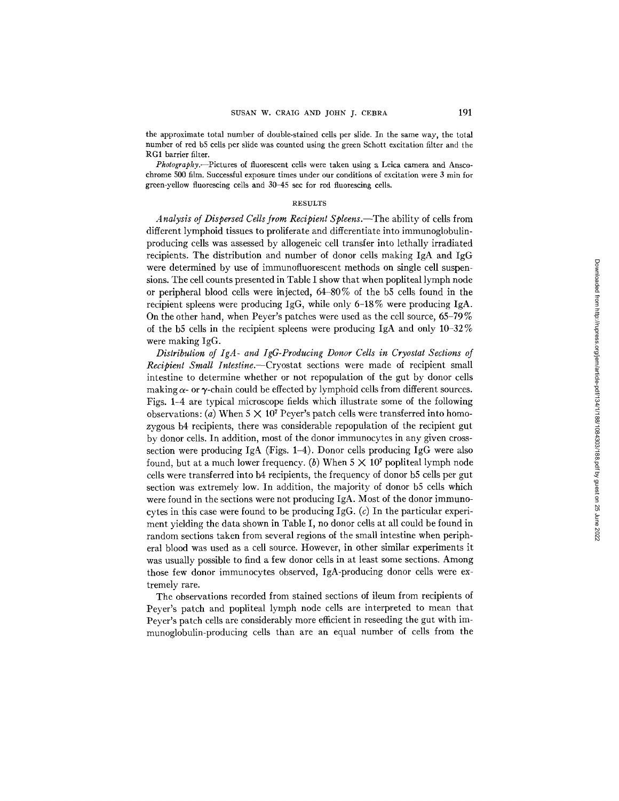the approximate total number of double-stained cells per slide. In the same way, the total number of red b5 cells per slide was counted using the green Schott excitation filter and the RG1 barrier filter.

*Photography.--Pictures* of fluorescent cells were taken using a Leica camera and Anscochrome 500 film. Successful exposure times under our conditions of excitation were 3 min for green-yellow fluorescing cells and 30-45 sec for red fluorescing cells.

### RESULTS

*Analysis of Dispersed Cells from Recipient Spleens.--The* ability of cells from different lymphoid tissues to proliferate and differentiate into immunoglobulinproducing cells was assessed by allogeneic cell transfer into lethally irradiated recipients. The distribution and number of donor cells making IgA and IgG were determined by use of immunofluorescent methods on single cell suspensions. The cell counts presented in Table I show that when popliteal lymph node or peripheral blood cells were injected,  $64-80\%$  of the b5 cells found in the recipient spleens were producing IgG, while only 6-18 % were producing IgA. On the other hand, when Peyer's patches were used as the cell source, 65-79 % of the b5 cells in the recipient spleens were producing IgA and only 10-32 % were making IgG.

*Distribution of IgA- and IgG-Producing Donor Cells in Cryostat Sections of Recipient Small Intestine.--Cryostat* sections were made of recipient small intestine to determine whether or not repopulation of the gut by donor cells making  $\alpha$ - or  $\gamma$ -chain could be effected by lymphoid cells from different sources. Figs. 1-4 are typical microscope fields which illustrate some of the following observations: (a) When  $5 \times 10^7$  Peyer's patch cells were transferred into homozygous b4 recipients, there was considerable repopulation of the recipient gut by donor ceils. In addition, most of the donor immunocytes in any given crosssection were producing IgA (Figs.  $1-4$ ). Donor cells producing IgG were also found, but at a much lower frequency. (b) When  $5 \times 10^7$  popliteal lymph node cells were transferred into b4 recipients, the frequency of donor b5 cells per gut section was extremely low. In addition, the majority of donor b5 cells which were found in the sections were not producing IgA. Most of the donor immunocytes in this case were found to be producing IgG.  $(c)$  In the particular experiment yielding the data shown in Table I, no donor cells at all could be found in random sections taken from several regions of the small intestine when peripheral blood was used as a cell source. However, in other similar experiments it was usually possible to find a few donor cells in at least some sections. Among those few donor immunocytes observed, IgA-producing donor cells were extremely rare.

The observations recorded from stained sections of ileum from recipients of Peyer's patch and popliteal lymph node cells are interpreted to mean that Peyer's patch cells are considerably more efficient in reseeding the gut with immunoglobulin-producing cells than are an equal number of cells from the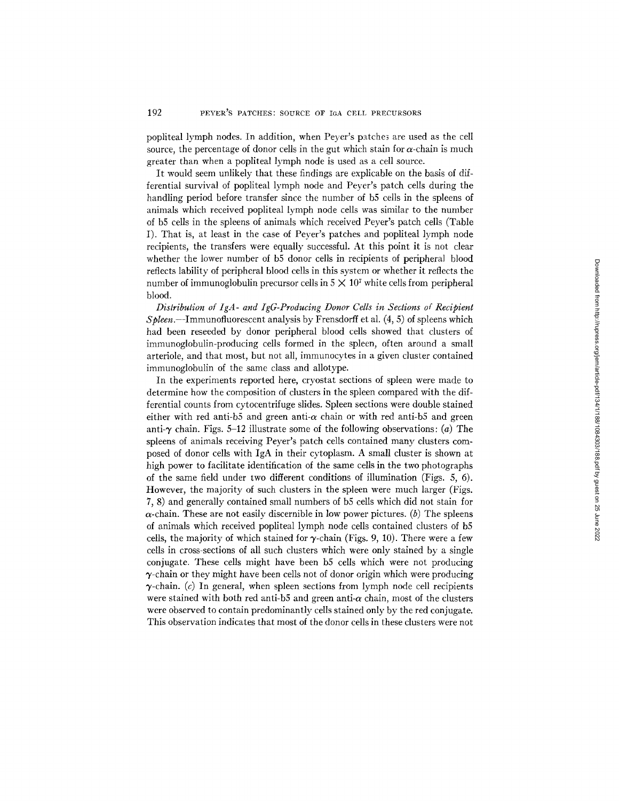popliteal lymph nodes. In addition, when Peyer's patches are used as the cell source, the percentage of donor cells in the gut which stain for  $\alpha$ -chain is much greater than when a popliteal lymph node is used as a cell source.

It would seem unlikely that these findings are explicable on the basis of differential survival of popliteal lymph node and Peyer's patch cells during the handling period before transfer since the number of b5 cells in the spleens of animals which received popliteal lymph node cells was similar to the number of b5 cells in the spleens of animals which received Peyer's patch cells (Table I). That is, at least in the case of Peyer's patches and popliteal lymph node recipients, the transfers were equally successful. At this point it is not clear whether the lower number of b5 donor cells in recipients of peripheral blood reflects lability of peripheral blood cells in this system or whether it reflects the number of immunoglobulin precursor cells in  $5 \times 10^7$  white cells from peripheral blood.

*Distribution of IgA- and IgG-Producing Donor Cells in Sections or Recipient Spleen.--Immunofluorescent* analysis by Frensdorff et al. (4, 5) of spleens which had been reseeded by donor peripheral blood cells showed that clusters of immunoglobulin-producing cells formed in the spleen, often around a small arteriole, and that most, but not all, immunocytes in a given cluster contained immunoglobulin of the same class and allotype.

In the experiments reported here, cryostat sections of spleen were made to determine how the composition of clusters in the spleen compared with the differential counts from cytocentrifuge slides. Spleen sections were double stained either with red anti-b5 and green anti- $\alpha$  chain or with red anti-b5 and green anti- $\gamma$  chain. Figs. 5-12 illustrate some of the following observations: (a) The spleens of animals receiving Peyer's patch cells contained many clusters composed of donor cells with IgA in their cytoplasm. A small cluster is shown at high power to facilitate identification of the same cells in the two photographs of the same field under two different conditions of illumination (Figs. 5, 6). However, the majority of such clusters in the spleen were much larger (Figs. 7, 8) and generally contained small numbers of b5 cells which did not stain for  $\alpha$ -chain. These are not easily discernible in low power pictures. (b) The spleens of animals which received popliteal lymph node cells contained clusters of b5 cells, the majority of which stained for  $\gamma$ -chain (Figs. 9, 10). There were a few cells in cross-sections of all such clusters which were only stained by a single conjugate. These cells might have been b5 cells which were not producing  $\gamma$ -chain or they might have been cells not of donor origin which were producing  $\gamma$ -chain. (c) In general, when spleen sections from lymph node cell recipients were stained with both red anti-b5 and green anti- $\alpha$  chain, most of the clusters were observed to contain predominantly cells stained only by the red conjugate. This observation indicates that most of the donor cells in these clusters were not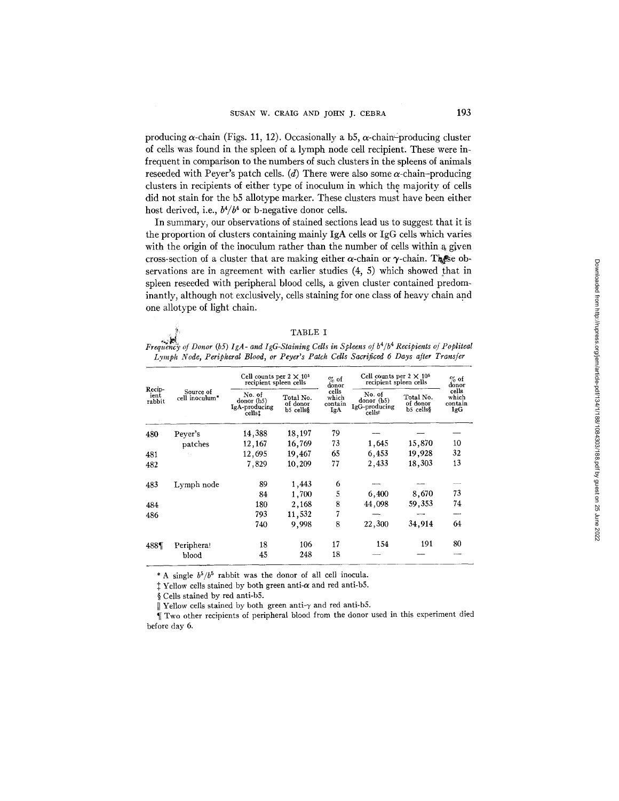producing  $\alpha$ -chain (Figs. 11, 12). Occasionally a b5,  $\alpha$ -chain-producing cluster of cells was found in the spleen of a lymph node cell recipient. These were infrequent in comparison to the numbers of such clusters in the spleens of animals reseeded with Peyer's patch cells. (d) There were also some  $\alpha$ -chain-producing clusters in recipients of either type of inoculum in which the majority of cells did not stain for the b5 allotype marker. These clusters must have been either host derived, i.e.,  $b^4/b^4$  or b-negative donor cells.

In summary, our observations of stained sections lead us to suggest that it is the proportion of clusters containing mainly IgA cells or IgG cells which varies with the origin of the inoculum rather than the number of cells within a given cross-section of a cluster that are making either  $\alpha$ -chain or  $\gamma$ -chain. These observations are in agreement with earlier studies (4, 5) which showed that in spleen reseeded with peripheral blood cells, a given cluster contained predominantly, although not exclusively, cells staining for one class of heavy chain and one allotype of light chain.

 $\mathbb{T}$  and  $\mathbb{T}$  and  $\mathbb{T}$  and  $\mathbb{T}$  and  $\mathbb{T}$  and  $\mathbb{T}$  and  $\mathbb{T}$  and  $\mathbb{T}$  and  $\mathbb{T}$  and  $\mathbb{T}$  and  $\mathbb{T}$  and  $\mathbb{T}$  and  $\mathbb{T}$  and  $\mathbb{T}$  and  $\mathbb{T}$  and  $\mathbb{T}$  and  $\mathbb{T}$  and  $\mathbb{T}$  and  $\mathbb{T$ *Frequency of Donor (b5) IgA- and IgG-Staining Cells in Spleens of b<sup>4</sup>/b<sup>4</sup> Recipients of Popliteal Lymph Node, Peripheral Blood, or Peyer's Patch Cells Sacrificed 6 Days after Transfer* 

| Recip-<br>ient<br>rabbit | Source of<br>cell inoculum* | Cell counts per $2 \times 10^5$<br>recipient spleen cells |                                    | $\%$ of<br>donor                 | Cell counts per $2 \times 10^5$<br>recipient spleen cells |                                    | $%$ of<br>donor                  |
|--------------------------|-----------------------------|-----------------------------------------------------------|------------------------------------|----------------------------------|-----------------------------------------------------------|------------------------------------|----------------------------------|
|                          |                             | No. of<br>donor (b5)<br>IgA-producing<br>cellsi           | Total No.<br>of donor<br>b5 cells§ | cells<br>which<br>contain<br>IgA | No. of<br>donor (b5)<br>IgG-producing<br>cells            | Total No.<br>of donor<br>b5 cells§ | cells<br>which<br>contain<br>IgG |
| 480                      | Peyer's                     | 14,388                                                    | 18,197                             | 79                               |                                                           |                                    |                                  |
|                          | patches                     | 12,167                                                    | 16,769                             | 73                               | 1,645                                                     | 15,870                             | 10                               |
| 481                      | Ł.                          | 12,695                                                    | 19,467                             | 65                               | 6,453                                                     | 19,928                             | 32                               |
| 482                      |                             | 7,829                                                     | 10,209                             | 77                               | 2,433                                                     | 18,303                             | 13                               |
| 483                      | Lymph node                  | 89                                                        | 1,443                              | 6                                |                                                           |                                    |                                  |
|                          |                             | 84                                                        | 1,700                              | 5                                | 6,400                                                     | 8,670                              | 73                               |
| 484                      |                             | 180                                                       | 2,168                              | 8                                | 44,098                                                    | 59,353                             | 74                               |
| 486                      |                             | 793                                                       | 11.532                             | 7                                |                                                           |                                    |                                  |
|                          |                             | 740                                                       | 9,998                              | 8                                | 22,300                                                    | 34,914                             | 64                               |
| 488¶                     | Periphera!                  | 18                                                        | 106                                | 17                               | 154                                                       | 191                                | 80                               |
|                          | blood                       | 45                                                        | 248                                | 18                               |                                                           |                                    |                                  |

\* A single  $b^5/b^5$  rabbit was the donor of all cell inocula.

 $\ddagger$  Yellow cells stained by both green anti- $\alpha$  and red anti-b5.

§ Cells stained by red anti-b5.

 $\parallel$  Yellow cells stained by both green anti- $\gamma$  and red anti-b5.

¶ Two other recipients of peripheral blood from the donor used in this experiment died before day 6.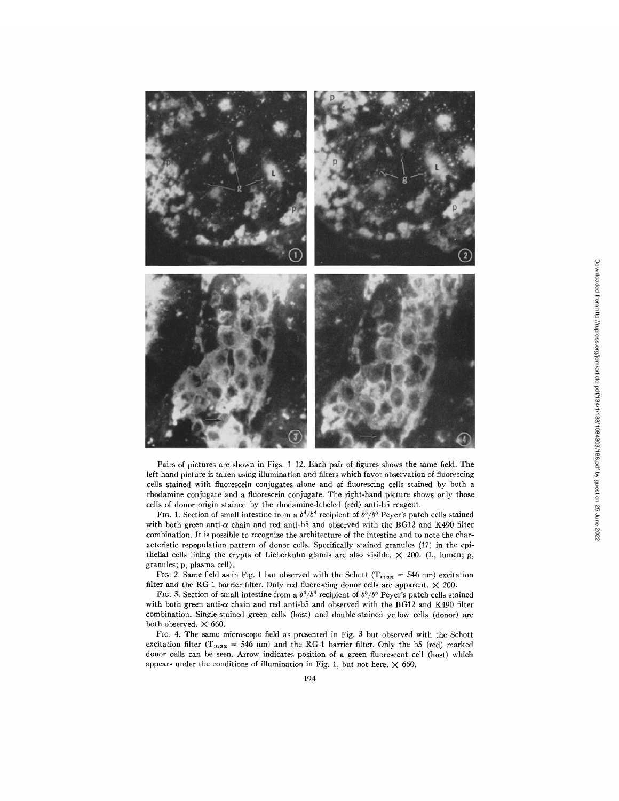

Pairs of pictures are shown in Figs. 1-12. Each pair of figures shows the same field. The left-hand picture is taken using illumination and filters which favor observation of fluorescing cells stained with fluorescein conjugates alone and of fluorescing cells stained by both a rhodamine conjugate and a fluorescein conjugate. The right-hand picture shows only those cells of donor origin stained by the rhodamine-tabeled (red) anti-b5 reagent.

FIG. 1. Section of small intestine from a  $b^4/b^4$  recipient of  $b^5/b^5$  Peyer's patch cells stained with both green anti- $\alpha$  chain and red anti-b5 and observed with the BG12 and K490 filter combination. It is possible to recognize the architecture of the intestine and to note the characteristic repopulation pattern of donor cells. Specifically stained granules (17) in the epithelial cells lining the crypts of Lieberkühn glands are also visible.  $\times$  200. (L, lumen; g, granules; p, plasma cell).

FIG. 2. Same field as in Fig. 1 but observed with the Schott ( $T_{max}$  = 546 nm) excitation filter and the RG-1 barrier filter. Only red fluorescing donor cells are apparent.  $\times$  200.

FIG. 3. Section of small intestine from a  $b^4/b^4$  recipient of  $b^5/b^5$  Peyer's patch cells stained with both green anti- $\alpha$  chain and red anti-b5 and observed with the BG12 and K490 filter combination. Single-stained green cells (host) and double-stained yellow cells (donor) are both observed,  $\times$  660.

FIO. 4. The same microscope field as presented in Fig. 3 but observed with the Schott excitation filter ( $T_{max}$  = 546 nm) and the RG-1 barrier filter. Only the b5 (red) marked donor cells can be seen. Arrow indicates position of a green fluorescent cell (host) which appears under the conditions of illumination in Fig. 1, but not here.  $\times$  660.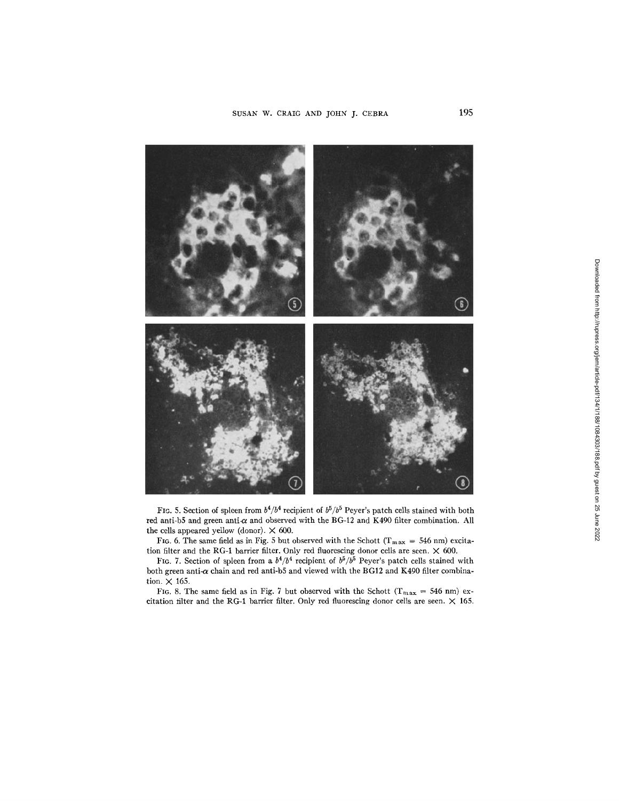

FIG. 5. Section of spleen from  $b^4/b^4$  recipient of  $b^5/b^5$  Peyer's patch cells stained with both red anti-b5 and green anti- $\alpha$  and observed with the BG-12 and K490 filter combination. All the cells appeared yellow (donor).  $\times$  600.

FIG. 6. The same field as in Fig. 5 but observed with the Schott ( $T_{max}$  = 546 nm) excitation filter and the RG-1 barrier filter. Only red fluorescing donor cells are seen.  $\times$  600.

FIG. 7. Section of spleen from a  $b^4/b^4$  recipient of  $b^3/b^5$  Peyer's patch cells stained with both green anti- $\alpha$  chain and red anti-b5 and viewed with the BG12 and K490 filter combination.  $\times$  165.

FIG. 8. The same field as in Fig. 7 but observed with the Schott ( $T_{max}$  = 546 nm) excitation filter and the RG-1 barrier filter. Only red fluorescing donor cells are seen.  $\times$  165.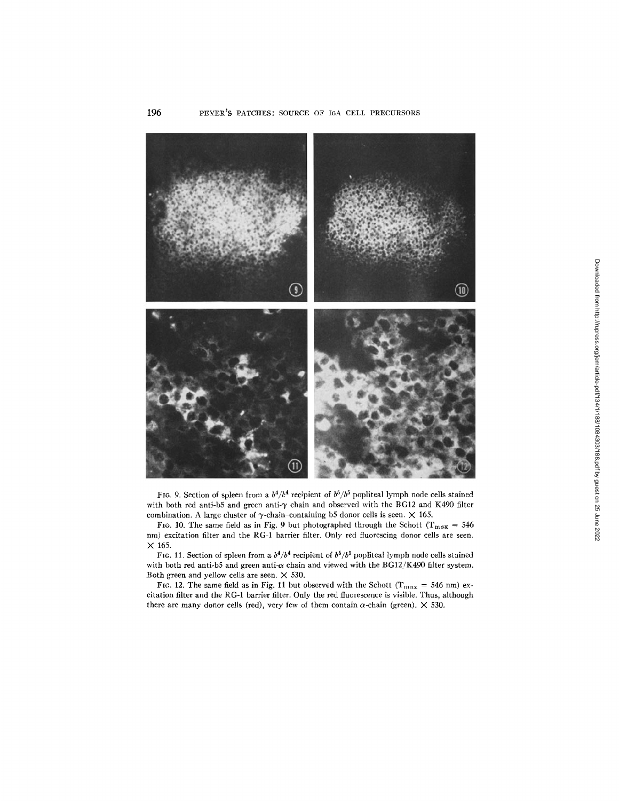

FIG. 9. Section of spleen from a  $b^4/b^4$  recipient of  $b^5/b^5$  popliteal lymph node cells stained with both red anti-b5 and green anti- $\gamma$  chain and observed with the BG12 and K490 filter combination. A large cluster of  $\gamma$ -chain-containing b5 donor cells is seen.  $\times$  165.

FIG. 10. The same field as in Fig. 9 but photographed through the Schott ( $T_{\text{max}} = 546$ ) nm) excitation filter and the RG-1 barrier filter. Only red fluorescing donor cells are seen.  $\times$  165.

F16. 11. Section of spleen from a  $b^4/b^4$  recipient of  $b^5/b^5$  popliteal lymph node cells stained with both red anti-b5 and green anti- $\alpha$  chain and viewed with the BG12/K490 filter system. Both green and yellow cells are seen.  $\times$  530.

FIG. 12. The same field as in Fig. 11 but observed with the Schott ( $T_{max}$  = 546 nm) excitation filter and the RG-1 barrier filter. Only the red fluorescence is visible. Thus, although there are many donor cells (red), very few of them contain  $\alpha$ -chain (green).  $\times$  530.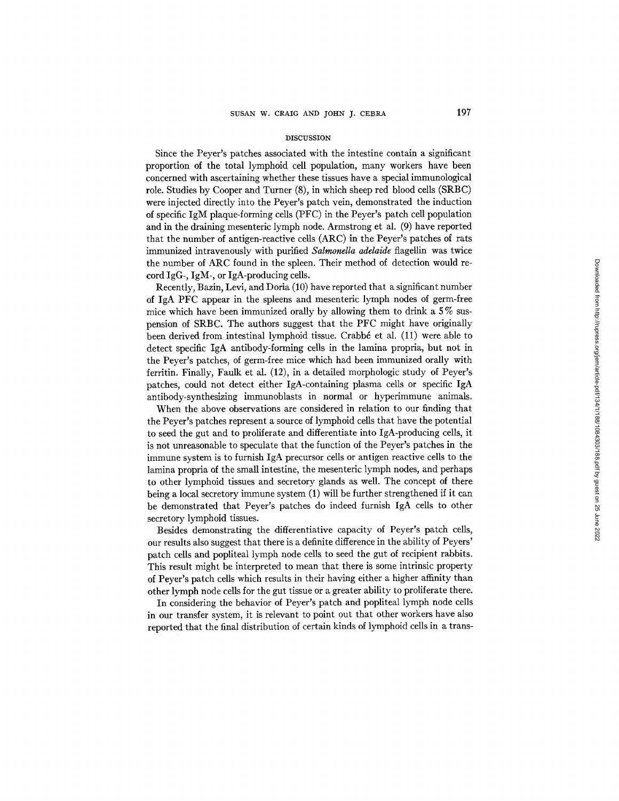## **DISCUSSION**

Since the Peyer's patches associated with the intestine contain a significant proportion of the total lymphoid cell population, many workers have been concerned with ascertaining whether these tissues have a special immunological role. Studies by Cooper and Turner (8), in which sheep red blood cells (SRBC) were injected directly into the Peyer's patch vein, demonstrated the induction of specific IgM plaque-forming cells (PFC) in the Peyer's patch cell population and in the draining mesenteric lymph node. Armstrong et al. (9) have reported that the number of antigen-reactive cells (ARC) in the Peyer's patches of rats immunized intravenously with purified *Salmonella adelaide* flagellin was twice the number of ARC found in the spleen. Their method of detection would record IgG-, IgM-, or IgA-producing cells.

Recently, Bazin, Levi, and Doria (10) have reported that a significant number of IgA PFC appear in the spleens and mesenteric lymph nodes of germ-free mice which have been immunized orally by allowing them to drink a 5 % suspension of SRBC. The authors suggest that the PFC might have originally been derived from intestinal lymphoid tissue. Crabbé et al. (11) were able to detect specific IgA antibody-forming cells in the lamina propria, but not in the Peyer's patches, of germ-free mice which had been immunized orally with ferritin. Finally, Faulk et al. (12), in a detailed morphologic study of Peyer's patches, could not detect either IgA-containing plasma cells or specific IgA antibody-synthesizing immunoblasts in normal or hyperimmune animals.

When the above observations are considered in relation to our finding that the Peyer's patches represent a source of lymphoid cells that have the potential to seed the gut and to proliferate and differentiate into IgA-producing cells, it is not unreasonable to speculate that the function of the Peyer's patches in the immune system is to furnish IgA precursor cells or antigen reactive cells to the lamina propria of the small intestine, the mesenteric lymph nodes, and perhaps to other lymphoid tissues and secretory glands as well. The concept of there being a local secretory immune system (1) will be further strengthened if it can be demonstrated that Peyer's patches do indeed furnish IgA cells to other secretory lymphoid tissues.

Besides demonstrating the differentiative capacity of Peyer's patch cells, our results also suggest that there is a definite difference in the ability of Peyers' patch cells and popliteal lymph node cells to seed the gut of recipient rabbits. This result might be interpreted to mean that there is some intrinsic property of Peyer's patch cells which results in their having either a higher affinity than other lymph node cells for the gut tissue or a greater ability to proliferate there.

In considering the behavior of Peyer's patch and popliteal lymph node cells in our transfer system, it is relevant to point out that other workers have also reported that the final distribution of certain kinds of lymphoid cells in a trans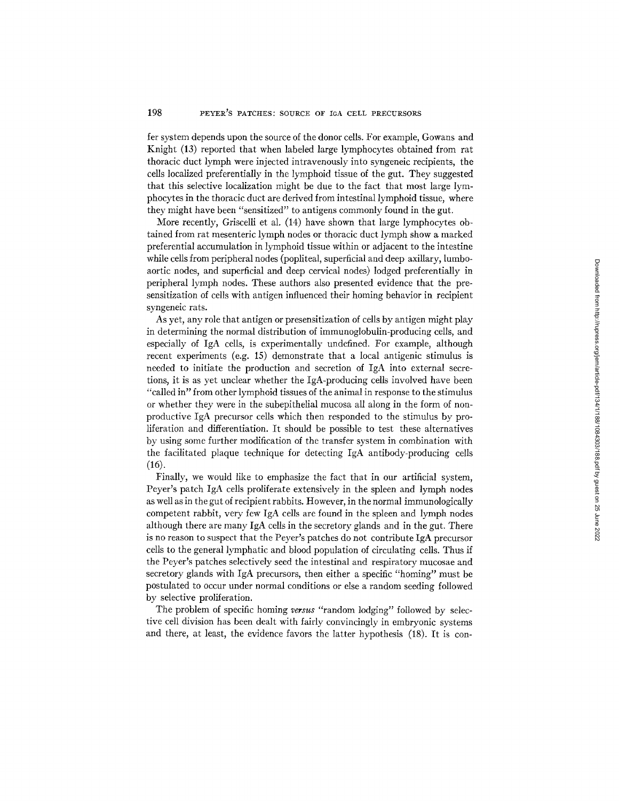fer system depends upon the source of the donor ceils. For example, Gowans and Knight (13) reported that when labeled large lymphocytes obtained from rat thoracic duct lymph were injected intravenously into syngeneic recipients, the cells localized preferentially in the lymphoid tissue of the gut. They suggested that this selective localization might be due to the fact that most large lymphocytes in the thoracic duct are derived from intestinal lymphoid tissue, where they might have been "sensitized" to antigens commonly found in the gut.

More recently, Griscelli et al. (14) have shown that large lymphocytes obtained from rat mesenteric lymph nodes or thoracic duct lymph show a marked preferential accumulation in lymphoid tissue within or adjacent to the intestine while cells from peripheral nodes (popliteal, superficial and deep axillary, lumboaortic nodes, and superficial and deep cervical nodes) lodged preferentially in peripheral lymph nodes. These authors also presented evidence that the presensitization of cells with antigen influenced their homing behavior in recipient syngeneic rats.

As yet, any role that antigen or presensitization of cells by antigen might play in determining the normal distribution of immunoglobulin-producing cells, and especially of IgA cells, is experimentally undefined. For example, although recent experiments (e.g. 15) demonstrate that a local antigenic stimulus is needed to initiate the production and secretion of IgA into external secretions, it is as yet unclear whether the IgA-producing cells involved have been "called in" from other lymphoid tissues of the animal in response to the stimulus or whether they were in the subepithelial mucosa all along in the form of nonproductive IgA precursor cells which then responded to the stimulus by proliferation and differentiation. It should be possible to test these alternatives by using some further modification of the transfer system in combination with the facilitated plaque technique for detecting IgA antibody-producing cells (16).

Finally, we would like to emphasize the fact that in our artificial system, Peyer's patch IgA cells proliferate extensively in the spleen and lymph nodes as well as in the gut of recipient rabbits. However, in the normal immunologically competent rabbit, very few IgA cells are found in the spleen and lymph nodes although there are many IgA cells in the secretory glands and in the gut. There is no reason to suspect that the Peyer's patches do not contribute IgA precursor cells to the general lymphatic and blood population of circulating cells. Thus if the Peyer's patches selectively seed the intestinal and respiratory mucosae and secretory glands with IgA precursors, then either a specific "homing" must be postulated to occur under normal conditions or else a random seeding followed by selective proliferation.

The problem of specific homing *versus* "random lodging" followed by selective cell division has been dealt with fairly convincingly in embryonic systems and there, at least, the evidence favors the latter hypothesis (18). It is con-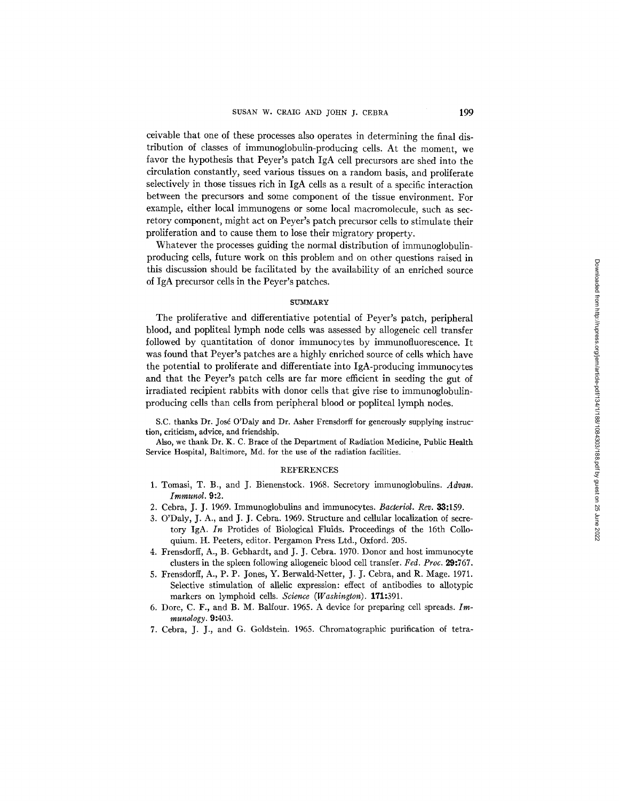ceivable that one of these processes also operates in determining the final distribution of classes of immunoglobulin-producing cells. At the moment, we favor the hypothesis that Peyer's patch IgA cell precursors are shed into the circulation constantly, seed various tissues on a random basis, and proliferate selectively in those tissues rich in IgA cells as a result of a specific interaction between the precursors and some component of the tissue environment. For example, either local immunogens or some local macromolecule, such as secretory component, might act on Peyer's patch precursor cells to stimulate their proliferation and to cause them to lose their migratory property.

Whatever the processes guiding the normal distribution of immunoglobulinproducing cells, future work on this problem and on other questions raised in this discussion should be facilitated by the availability of an enriched source of IgA precursor cells in the Peyer's patches.

## SUMMARY

The proliferative and differentiative potential of Peyer's patch, peripheral blood, and popliteal lymph node cells was assessed by allogeneic cell transfer followed by quantitation of donor immunocytes by immunofluorescence. It was found that Peyer's patches are a highly enriched source of cells which have the potential to proliferate and differentiate into IgA-producing immunocytes and that the Peyer's patch cells are far more efficient in seeding the gut of irradiated recipient rabbits with donor cells that give rise to immunoglobulinproducing cells than ceils from peripheral blood or popliteal lymph nodes.

S.C. thanks Dr. José O'Daly and Dr. Asher Frensdorff for generously supplying instruction, criticism, advice, and friendship.

Also, we thank Dr. K. C. Brace of the Department of Radiation Medicine, Public Health Service Hospital, Baltimore, Md. for the use of the radiation facilities.

#### REFERENCES

- 1. Tomasi, T. B., and J. Bienenstock. 1968. Secretory immunoglobulins. *Advan. Immunol.* 9:2.
- 2. Cebra, J. J. 1969. Immunoglobulins and immunocytes. *Bacteriol. Rev.* 33:159.
- 3. O'Daly, J. A., and J. J. Cebra. 1969. Structure and cellular localization of secretory IgA. *In* Protides of Biological Fluids. Proceedings of the 16th Colloquium. 14. Peeters, editor. Pergamon Press Ltd., Oxford. 205.
- 4. Frensdorff, A., B. Gebhardt, and J. J. Cebra. 1970. Donor and host immunocyte clusters in the spleen following allogeneic blood cell transfer. *Fed. Proc.* 29:767.
- 5. Frensdorff, A., P. P. Jones, Y. Berwald-Netter, J. J. Cebra, and R. Mage. 1971. Selective stimulation of allelic expression: effect of antibodies to allotypic markers on lymphoid cells. *Science (Washington).* 121:391.
- 6. Dore, C. F., and B. M. Balfour. 1965. A device for preparing cell spreads. *Immunology.* 9:403.
- 7. Cebra, J. J., and G. Goldstein. 1965. Chromatographic purification of tetra-